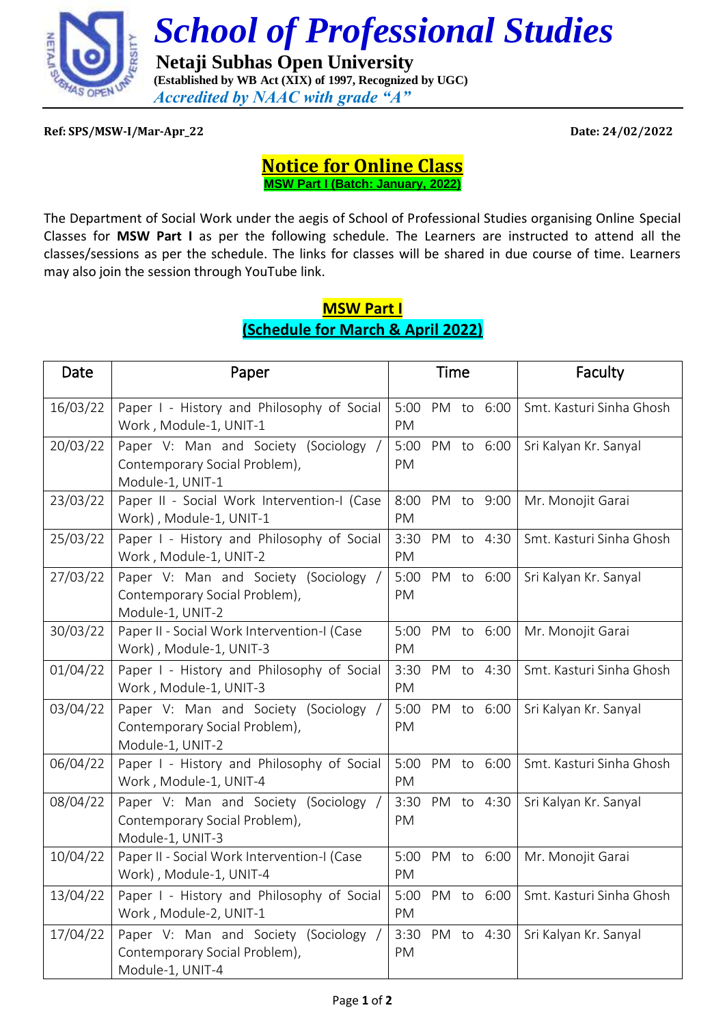

 *School of Professional Studies*

 **Netaji Subhas Open University (Established by WB Act (XIX) of 1997, Recognized by UGC)** *Accredited by NAAC with grade "A"*

**Ref: SPS/MSW-I/Mar-Apr\_22 Date: 24/02/2022**

## **Notice for Online Class MSW Part I (Batch: January, 2022)**

The Department of Social Work under the aegis of School of Professional Studies organising Online Special Classes for **MSW Part I** as per the following schedule. The Learners are instructed to attend all the classes/sessions as per the schedule. The links for classes will be shared in due course of time. Learners may also join the session through YouTube link.

## **MSW Part I (Schedule for March & April 2022)**

| Date     | Paper                                                                                      |                       | <b>Time</b> |            | Faculty                  |
|----------|--------------------------------------------------------------------------------------------|-----------------------|-------------|------------|--------------------------|
| 16/03/22 | Paper I - History and Philosophy of Social<br>Work, Module-1, UNIT-1                       | 5:00 PM to 6:00<br>PM |             |            | Smt. Kasturi Sinha Ghosh |
| 20/03/22 | Paper V: Man and Society (Sociology /<br>Contemporary Social Problem),<br>Module-1, UNIT-1 | 5:00 PM to 6:00<br>PM |             |            | Sri Kalyan Kr. Sanyal    |
| 23/03/22 | Paper II - Social Work Intervention-I (Case<br>Work), Module-1, UNIT-1                     | 8:00<br>PM            |             | PM to 9:00 | Mr. Monojit Garai        |
| 25/03/22 | Paper I - History and Philosophy of Social<br>Work, Module-1, UNIT-2                       | 3:30 PM to 4:30<br>PM |             |            | Smt. Kasturi Sinha Ghosh |
| 27/03/22 | Paper V: Man and Society (Sociology /<br>Contemporary Social Problem),<br>Module-1, UNIT-2 | 5:00 PM to 6:00<br>PM |             |            | Sri Kalyan Kr. Sanyal    |
| 30/03/22 | Paper II - Social Work Intervention-I (Case<br>Work), Module-1, UNIT-3                     | 5:00 PM to 6:00<br>PM |             |            | Mr. Monojit Garai        |
| 01/04/22 | Paper I - History and Philosophy of Social<br>Work, Module-1, UNIT-3                       | 3:30<br>PM            |             | PM to 4:30 | Smt. Kasturi Sinha Ghosh |
| 03/04/22 | Paper V: Man and Society (Sociology /<br>Contemporary Social Problem),<br>Module-1, UNIT-2 | 5:00 PM to 6:00<br>PM |             |            | Sri Kalyan Kr. Sanyal    |
| 06/04/22 | Paper I - History and Philosophy of Social<br>Work, Module-1, UNIT-4                       | 5:00<br>PM            |             | PM to 6:00 | Smt. Kasturi Sinha Ghosh |
| 08/04/22 | Paper V: Man and Society (Sociology /<br>Contemporary Social Problem),<br>Module-1, UNIT-3 | 3:30<br>PM            |             | PM to 4:30 | Sri Kalyan Kr. Sanyal    |
| 10/04/22 | Paper II - Social Work Intervention-I (Case<br>Work), Module-1, UNIT-4                     | 5:00 PM to 6:00<br>PM |             |            | Mr. Monojit Garai        |
| 13/04/22 | Paper I - History and Philosophy of Social<br>Work, Module-2, UNIT-1                       | 5:00 PM to 6:00<br>PM |             |            | Smt. Kasturi Sinha Ghosh |
| 17/04/22 | Paper V: Man and Society (Sociology /<br>Contemporary Social Problem),<br>Module-1, UNIT-4 | 3:30<br>PM            |             | PM to 4:30 | Sri Kalyan Kr. Sanyal    |